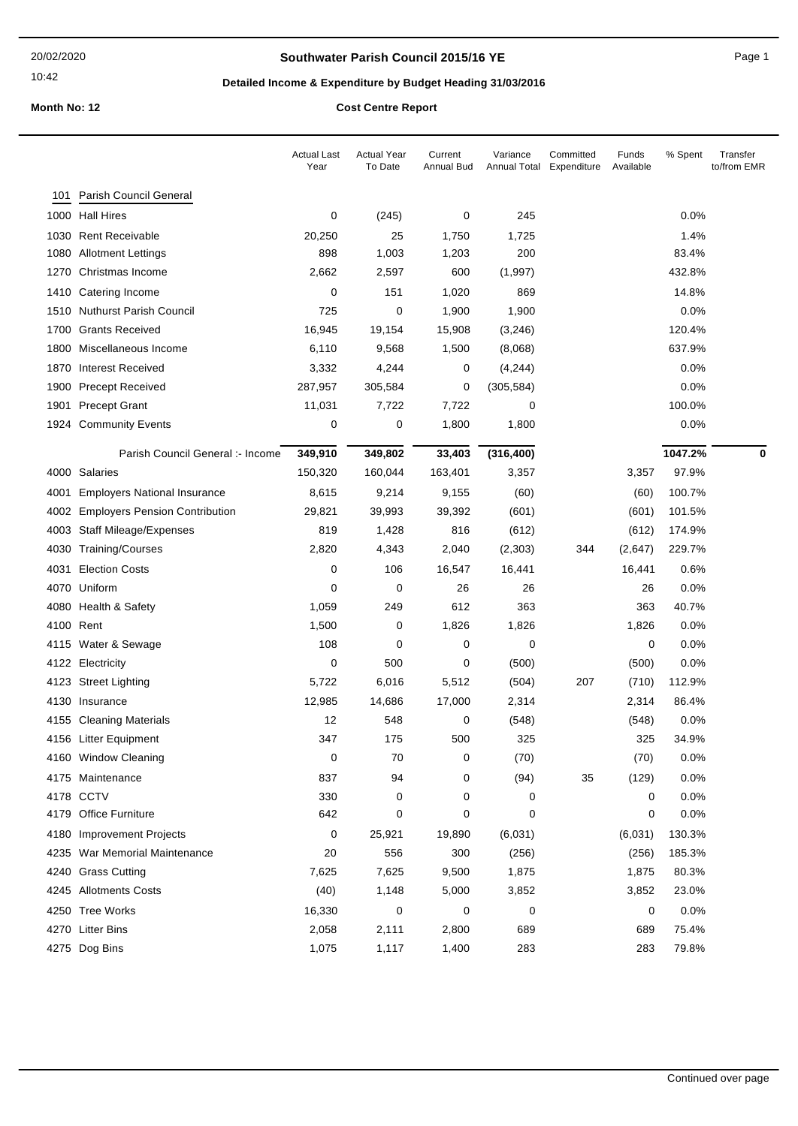## **Southwater Parish Council 2015/16 YE Page 1** Page 1

# **Detailed Income & Expenditure by Budget Heading 31/03/2016**

|      |                                       | <b>Actual Last</b><br>Year | <b>Actual Year</b><br>To Date | Current<br>Annual Bud | Variance<br>Annual Total | Committed<br>Expenditure | Funds<br>Available | % Spent | Transfer<br>to/from EMR |
|------|---------------------------------------|----------------------------|-------------------------------|-----------------------|--------------------------|--------------------------|--------------------|---------|-------------------------|
| 101  | Parish Council General                |                            |                               |                       |                          |                          |                    |         |                         |
|      | 1000 Hall Hires                       | 0                          | (245)                         | 0                     | 245                      |                          |                    | 0.0%    |                         |
|      | 1030 Rent Receivable                  | 20,250                     | 25                            | 1,750                 | 1,725                    |                          |                    | 1.4%    |                         |
|      | 1080 Allotment Lettings               | 898                        | 1,003                         | 1,203                 | 200                      |                          |                    | 83.4%   |                         |
|      | 1270 Christmas Income                 | 2,662                      | 2,597                         | 600                   | (1,997)                  |                          |                    | 432.8%  |                         |
|      | 1410 Catering Income                  | 0                          | 151                           | 1,020                 | 869                      |                          |                    | 14.8%   |                         |
|      | 1510 Nuthurst Parish Council          | 725                        | 0                             | 1,900                 | 1,900                    |                          |                    | 0.0%    |                         |
|      | 1700 Grants Received                  | 16,945                     | 19,154                        | 15,908                | (3,246)                  |                          |                    | 120.4%  |                         |
|      | 1800 Miscellaneous Income             | 6,110                      | 9,568                         | 1,500                 | (8,068)                  |                          |                    | 637.9%  |                         |
|      | 1870 Interest Received                | 3,332                      | 4,244                         | 0                     | (4,244)                  |                          |                    | 0.0%    |                         |
|      | 1900 Precept Received                 | 287,957                    | 305,584                       | 0                     | (305, 584)               |                          |                    | 0.0%    |                         |
|      | 1901 Precept Grant                    | 11,031                     | 7,722                         | 7,722                 | 0                        |                          |                    | 100.0%  |                         |
|      | 1924 Community Events                 | 0                          | 0                             | 1,800                 | 1,800                    |                          |                    | 0.0%    |                         |
|      | Parish Council General :- Income      | 349,910                    | 349,802                       | 33,403                | (316, 400)               |                          |                    | 1047.2% | 0                       |
|      | 4000 Salaries                         | 150,320                    | 160,044                       | 163,401               | 3,357                    |                          | 3,357              | 97.9%   |                         |
| 4001 | <b>Employers National Insurance</b>   | 8,615                      | 9,214                         | 9,155                 | (60)                     |                          | (60)               | 100.7%  |                         |
| 4002 | <b>Employers Pension Contribution</b> | 29,821                     | 39,993                        | 39,392                | (601)                    |                          | (601)              | 101.5%  |                         |
|      | 4003 Staff Mileage/Expenses           | 819                        | 1,428                         | 816                   | (612)                    |                          | (612)              | 174.9%  |                         |
|      | 4030 Training/Courses                 | 2,820                      | 4,343                         | 2,040                 | (2,303)                  | 344                      | (2,647)            | 229.7%  |                         |
|      | 4031 Election Costs                   | 0                          | 106                           | 16,547                | 16,441                   |                          | 16,441             | 0.6%    |                         |
|      | 4070 Uniform                          | 0                          | 0                             | 26                    | 26                       |                          | 26                 | 0.0%    |                         |
|      | 4080 Health & Safety                  | 1,059                      | 249                           | 612                   | 363                      |                          | 363                | 40.7%   |                         |
|      | 4100 Rent                             | 1,500                      | 0                             | 1,826                 | 1,826                    |                          | 1,826              | 0.0%    |                         |
|      | 4115 Water & Sewage                   | 108                        | 0                             | 0                     | 0                        |                          | 0                  | 0.0%    |                         |
|      | 4122 Electricity                      | 0                          | 500                           | 0                     | (500)                    |                          | (500)              | 0.0%    |                         |
|      | 4123 Street Lighting                  | 5,722                      | 6,016                         | 5,512                 | (504)                    | 207                      | (710)              | 112.9%  |                         |
|      | 4130 Insurance                        | 12,985                     | 14,686                        | 17,000                | 2,314                    |                          | 2,314              | 86.4%   |                         |
|      | 4155 Cleaning Materials               | 12                         | 548                           | 0                     | (548)                    |                          | (548)              | 0.0%    |                         |
|      | 4156 Litter Equipment                 | 347                        | 175                           | 500                   | 325                      |                          | 325                | 34.9%   |                         |
|      | 4160 Window Cleaning                  | 0                          | 70                            | 0                     | (70)                     |                          | (70)               | 0.0%    |                         |
|      | 4175 Maintenance                      | 837                        | 94                            | 0                     | (94)                     | 35                       | (129)              | 0.0%    |                         |
|      | 4178 CCTV                             | 330                        | 0                             | 0                     | 0                        |                          | 0                  | 0.0%    |                         |
|      | 4179 Office Furniture                 | 642                        | 0                             | 0                     | 0                        |                          | 0                  | 0.0%    |                         |
|      | 4180 Improvement Projects             | 0                          | 25,921                        | 19,890                | (6,031)                  |                          | (6,031)            | 130.3%  |                         |
|      | 4235 War Memorial Maintenance         | 20                         | 556                           | 300                   | (256)                    |                          | (256)              | 185.3%  |                         |
|      | 4240 Grass Cutting                    | 7,625                      | 7,625                         | 9,500                 | 1,875                    |                          | 1,875              | 80.3%   |                         |
|      | 4245 Allotments Costs                 | (40)                       | 1,148                         | 5,000                 | 3,852                    |                          | 3,852              | 23.0%   |                         |
|      | 4250 Tree Works                       | 16,330                     | 0                             | 0                     | 0                        |                          | 0                  | 0.0%    |                         |
|      | 4270 Litter Bins                      | 2,058                      | 2,111                         | 2,800                 | 689                      |                          | 689                | 75.4%   |                         |
|      | 4275 Dog Bins                         | 1,075                      | 1,117                         | 1,400                 | 283                      |                          | 283                | 79.8%   |                         |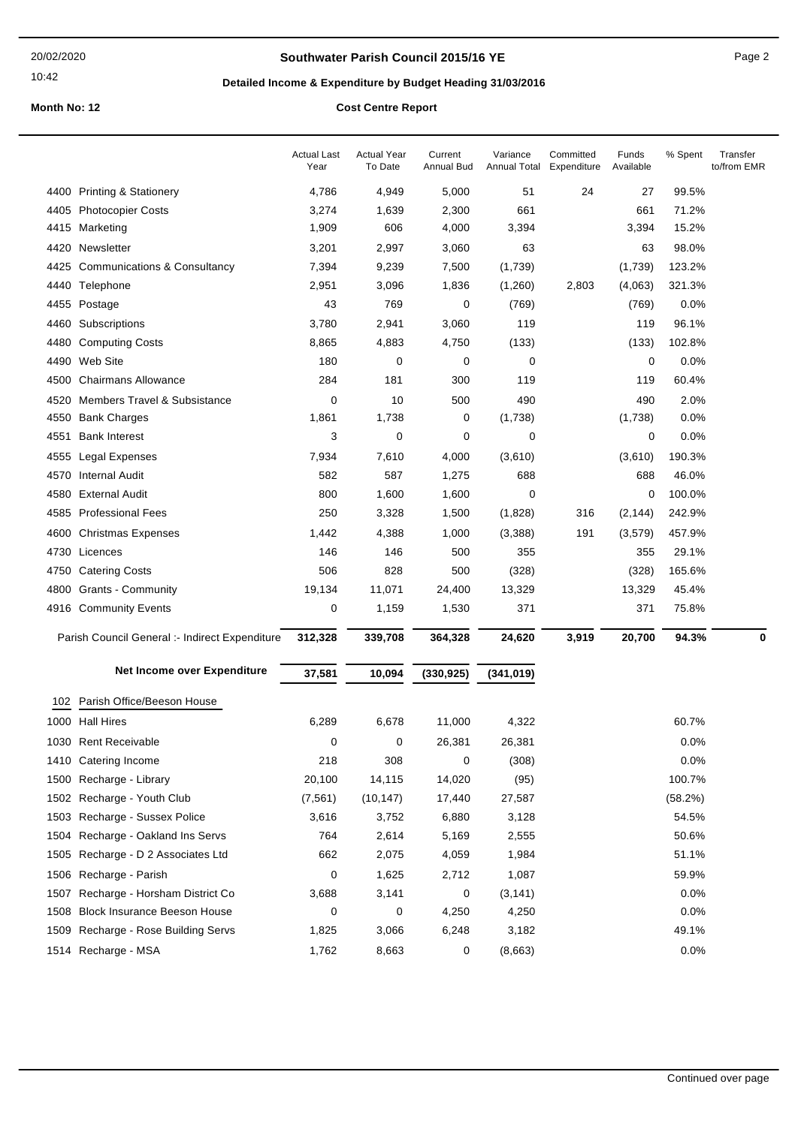### **Southwater Parish Council 2015/16 YE Page 2** Page 2

# **Detailed Income & Expenditure by Budget Heading 31/03/2016**

|      |                                                | <b>Actual Last</b><br>Year | Actual Year<br>To Date | Current<br>Annual Bud | Variance<br>Annual Total | Committed<br>Expenditure | Funds<br>Available | % Spent | Transfer<br>to/from EMR |
|------|------------------------------------------------|----------------------------|------------------------|-----------------------|--------------------------|--------------------------|--------------------|---------|-------------------------|
|      | 4400 Printing & Stationery                     | 4,786                      | 4,949                  | 5,000                 | 51                       | 24                       | 27                 | 99.5%   |                         |
|      | 4405 Photocopier Costs                         | 3,274                      | 1,639                  | 2,300                 | 661                      |                          | 661                | 71.2%   |                         |
| 4415 | Marketing                                      | 1,909                      | 606                    | 4,000                 | 3,394                    |                          | 3,394              | 15.2%   |                         |
| 4420 | Newsletter                                     | 3,201                      | 2,997                  | 3,060                 | 63                       |                          | 63                 | 98.0%   |                         |
| 4425 | <b>Communications &amp; Consultancy</b>        | 7,394                      | 9,239                  | 7,500                 | (1,739)                  |                          | (1,739)            | 123.2%  |                         |
|      | 4440 Telephone                                 | 2,951                      | 3,096                  | 1,836                 | (1,260)                  | 2,803                    | (4,063)            | 321.3%  |                         |
| 4455 | Postage                                        | 43                         | 769                    | 0                     | (769)                    |                          | (769)              | 0.0%    |                         |
| 4460 | Subscriptions                                  | 3,780                      | 2,941                  | 3,060                 | 119                      |                          | 119                | 96.1%   |                         |
| 4480 | <b>Computing Costs</b>                         | 8,865                      | 4,883                  | 4,750                 | (133)                    |                          | (133)              | 102.8%  |                         |
| 4490 | Web Site                                       | 180                        | 0                      | 0                     | 0                        |                          | 0                  | 0.0%    |                         |
| 4500 | <b>Chairmans Allowance</b>                     | 284                        | 181                    | 300                   | 119                      |                          | 119                | 60.4%   |                         |
| 4520 | <b>Members Travel &amp; Subsistance</b>        | 0                          | 10                     | 500                   | 490                      |                          | 490                | 2.0%    |                         |
| 4550 | <b>Bank Charges</b>                            | 1,861                      | 1,738                  | 0                     | (1,738)                  |                          | (1,738)            | $0.0\%$ |                         |
| 4551 | <b>Bank Interest</b>                           | 3                          | 0                      | 0                     | 0                        |                          | 0                  | 0.0%    |                         |
| 4555 | Legal Expenses                                 | 7,934                      | 7,610                  | 4,000                 | (3,610)                  |                          | (3,610)            | 190.3%  |                         |
| 4570 | <b>Internal Audit</b>                          | 582                        | 587                    | 1,275                 | 688                      |                          | 688                | 46.0%   |                         |
|      | 4580 External Audit                            | 800                        | 1,600                  | 1,600                 | 0                        |                          | 0                  | 100.0%  |                         |
|      | 4585 Professional Fees                         | 250                        | 3,328                  | 1,500                 | (1,828)                  | 316                      | (2, 144)           | 242.9%  |                         |
|      | 4600 Christmas Expenses                        | 1,442                      | 4,388                  | 1,000                 | (3,388)                  | 191                      | (3, 579)           | 457.9%  |                         |
| 4730 | Licences                                       | 146                        | 146                    | 500                   | 355                      |                          | 355                | 29.1%   |                         |
|      | 4750 Catering Costs                            | 506                        | 828                    | 500                   | (328)                    |                          | (328)              | 165.6%  |                         |
|      | 4800 Grants - Community                        | 19,134                     | 11,071                 | 24,400                | 13,329                   |                          | 13,329             | 45.4%   |                         |
|      | 4916 Community Events                          | 0                          | 1,159                  | 1,530                 | 371                      |                          | 371                | 75.8%   |                         |
|      | Parish Council General :- Indirect Expenditure | 312,328                    | 339,708                | 364,328               | 24,620                   | 3,919                    | 20,700             | 94.3%   | 0                       |
|      | Net Income over Expenditure                    | 37,581                     | 10,094                 | (330, 925)            | (341, 019)               |                          |                    |         |                         |
|      |                                                |                            |                        |                       |                          |                          |                    |         |                         |
| 102  | Parish Office/Beeson House<br>1000 Hall Hires  | 6,289                      | 6,678                  | 11,000                | 4,322                    |                          |                    | 60.7%   |                         |
|      | 1030 Rent Receivable                           | 0                          | 0                      | 26,381                | 26,381                   |                          |                    | 0.0%    |                         |
|      | 1410 Catering Income                           | 218                        | 308                    | 0                     | (308)                    |                          |                    | 0.0%    |                         |
|      | 1500 Recharge - Library                        | 20,100                     | 14,115                 | 14,020                | (95)                     |                          |                    | 100.7%  |                         |
|      | 1502 Recharge - Youth Club                     | (7, 561)                   | (10, 147)              | 17,440                | 27,587                   |                          |                    | (58.2%) |                         |
|      | 1503 Recharge - Sussex Police                  | 3,616                      | 3,752                  | 6,880                 | 3,128                    |                          |                    | 54.5%   |                         |
| 1504 | Recharge - Oakland Ins Servs                   | 764                        | 2,614                  | 5,169                 | 2,555                    |                          |                    | 50.6%   |                         |
|      | 1505 Recharge - D 2 Associates Ltd             | 662                        | 2,075                  | 4,059                 | 1,984                    |                          |                    | 51.1%   |                         |
|      | 1506 Recharge - Parish                         | 0                          | 1,625                  | 2,712                 | 1,087                    |                          |                    | 59.9%   |                         |
|      | 1507 Recharge - Horsham District Co            | 3,688                      | 3,141                  | 0                     | (3, 141)                 |                          |                    | 0.0%    |                         |
|      | 1508 Block Insurance Beeson House              | 0                          | 0                      | 4,250                 | 4,250                    |                          |                    | 0.0%    |                         |
|      | 1509 Recharge - Rose Building Servs            | 1,825                      | 3,066                  | 6,248                 | 3,182                    |                          |                    | 49.1%   |                         |
|      | 1514 Recharge - MSA                            | 1,762                      | 8,663                  | 0                     | (8,663)                  |                          |                    | 0.0%    |                         |
|      |                                                |                            |                        |                       |                          |                          |                    |         |                         |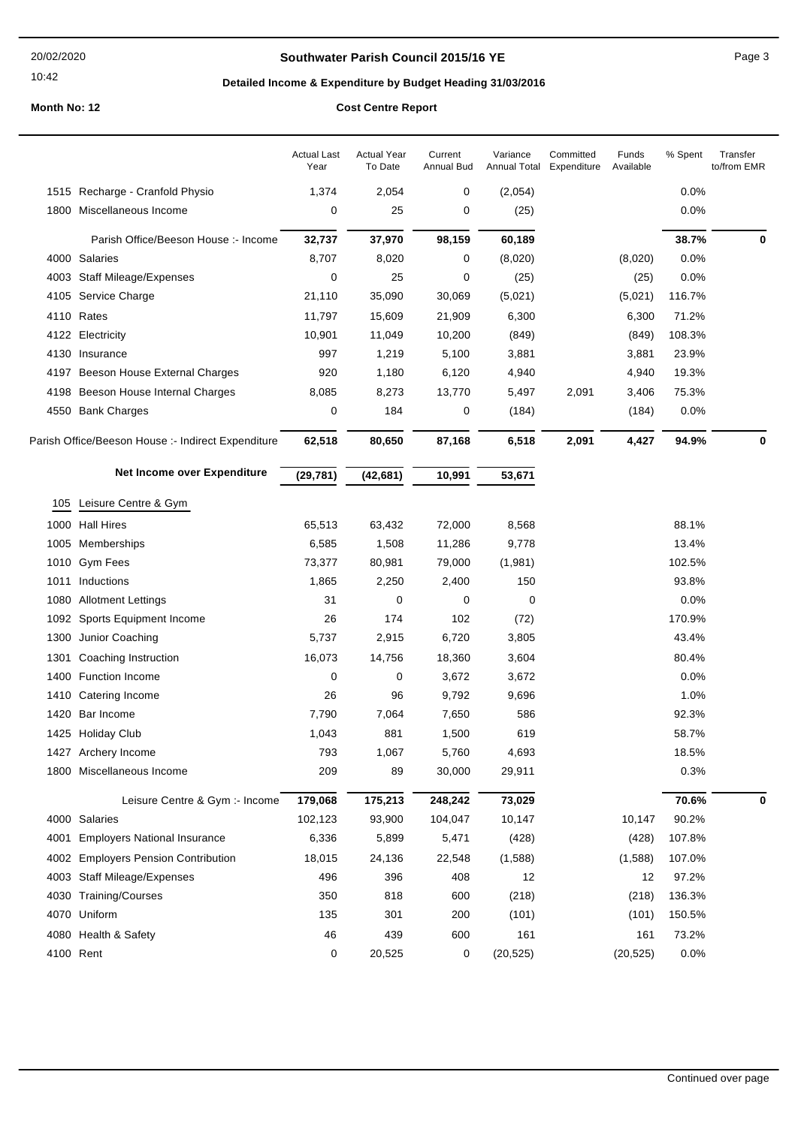#### 20/02/2020

### 10:42

## **Southwater Parish Council 2015/16 YE Page 3** Page 3

# **Detailed Income & Expenditure by Budget Heading 31/03/2016**

|              |                                                    | <b>Actual Last</b><br>Year | <b>Actual Year</b><br>To Date | Current<br>Annual Bud | Variance<br>Annual Total | Committed<br>Expenditure | Funds<br>Available | % Spent | Transfer<br>to/from EMR |
|--------------|----------------------------------------------------|----------------------------|-------------------------------|-----------------------|--------------------------|--------------------------|--------------------|---------|-------------------------|
|              | 1515 Recharge - Cranfold Physio                    | 1,374                      | 2,054                         | 0                     | (2,054)                  |                          |                    | 0.0%    |                         |
| 1800         | Miscellaneous Income                               | 0                          | 25                            | 0                     | (25)                     |                          |                    | 0.0%    |                         |
|              | Parish Office/Beeson House :- Income               | 32,737                     | 37,970                        | 98,159                | 60,189                   |                          |                    | 38.7%   | 0                       |
|              | 4000 Salaries                                      | 8,707                      | 8,020                         | 0                     | (8,020)                  |                          | (8,020)            | 0.0%    |                         |
|              | 4003 Staff Mileage/Expenses                        | 0                          | 25                            | 0                     | (25)                     |                          | (25)               | 0.0%    |                         |
|              | 4105 Service Charge                                | 21,110                     | 35,090                        | 30,069                | (5,021)                  |                          | (5,021)            | 116.7%  |                         |
|              | 4110 Rates                                         | 11,797                     | 15,609                        | 21,909                | 6,300                    |                          | 6,300              | 71.2%   |                         |
| 4122         | Electricity                                        | 10,901                     | 11,049                        | 10,200                | (849)                    |                          | (849)              | 108.3%  |                         |
|              | 4130 Insurance                                     | 997                        | 1,219                         | 5,100                 | 3,881                    |                          | 3,881              | 23.9%   |                         |
|              | 4197 Beeson House External Charges                 | 920                        | 1,180                         | 6,120                 | 4,940                    |                          | 4,940              | 19.3%   |                         |
| 4198         | Beeson House Internal Charges                      | 8,085                      | 8,273                         | 13,770                | 5,497                    | 2,091                    | 3,406              | 75.3%   |                         |
|              | 4550 Bank Charges                                  | 0                          | 184                           | 0                     | (184)                    |                          | (184)              | 0.0%    |                         |
|              | Parish Office/Beeson House :- Indirect Expenditure | 62,518                     | 80,650                        | 87,168                | 6,518                    | 2,091                    | 4,427              | 94.9%   | 0                       |
|              | Net Income over Expenditure                        | (29, 781)                  | (42, 681)                     | 10,991                | 53,671                   |                          |                    |         |                         |
| 105          | Leisure Centre & Gym                               |                            |                               |                       |                          |                          |                    |         |                         |
|              | <b>Hall Hires</b>                                  | 65,513                     | 63,432                        | 72,000                |                          |                          |                    | 88.1%   |                         |
| 1000         |                                                    | 6,585                      | 1,508                         | 11,286                | 8,568<br>9,778           |                          |                    | 13.4%   |                         |
| 1005         | Memberships                                        |                            |                               |                       |                          |                          |                    | 102.5%  |                         |
| 1010         | <b>Gym Fees</b><br>Inductions                      | 73,377<br>1,865            | 80,981<br>2,250               | 79,000                | (1,981)<br>150           |                          |                    | 93.8%   |                         |
| 1011<br>1080 | <b>Allotment Lettings</b>                          | 31                         | 0                             | 2,400<br>0            | 0                        |                          |                    | 0.0%    |                         |
| 1092         | Sports Equipment Income                            | 26                         | 174                           | 102                   | (72)                     |                          |                    | 170.9%  |                         |
| 1300         | Junior Coaching                                    | 5,737                      | 2,915                         | 6,720                 | 3,805                    |                          |                    | 43.4%   |                         |
| 1301         |                                                    |                            | 14,756                        | 18,360                | 3,604                    |                          |                    | 80.4%   |                         |
| 1400         | Coaching Instruction<br>Function Income            | 16,073<br>0                | 0                             | 3,672                 | 3,672                    |                          |                    | 0.0%    |                         |
|              | 1410 Catering Income                               | 26                         | 96                            | 9,792                 | 9,696                    |                          |                    | 1.0%    |                         |
| 1420         | Bar Income                                         | 7,790                      | 7,064                         | 7,650                 | 586                      |                          |                    | 92.3%   |                         |
|              | 1425 Holiday Club                                  | 1,043                      | 881                           | 1,500                 | 619                      |                          |                    | 58.7%   |                         |
|              | 1427 Archery Income                                | 793                        | 1,067                         | 5,760                 | 4,693                    |                          |                    | 18.5%   |                         |
| 1800         | Miscellaneous Income                               | 209                        | 89                            | 30,000                | 29,911                   |                          |                    | 0.3%    |                         |
|              |                                                    |                            |                               |                       |                          |                          |                    |         |                         |
|              | Leisure Centre & Gym :- Income                     | 179,068                    | 175,213                       | 248,242               | 73,029                   |                          |                    | 70.6%   | $\mathbf 0$             |
|              | 4000 Salaries                                      | 102,123                    | 93,900                        | 104,047               | 10,147                   |                          | 10,147             | 90.2%   |                         |
| 4001         | <b>Employers National Insurance</b>                | 6,336                      | 5,899                         | 5,471                 | (428)                    |                          | (428)              | 107.8%  |                         |
| 4002         | <b>Employers Pension Contribution</b>              | 18,015                     | 24,136                        | 22,548                | (1,588)                  |                          | (1,588)            | 107.0%  |                         |
| 4003         | <b>Staff Mileage/Expenses</b>                      | 496                        | 396                           | 408                   | 12                       |                          | 12                 | 97.2%   |                         |
| 4030         | Training/Courses                                   | 350                        | 818                           | 600                   | (218)                    |                          | (218)              | 136.3%  |                         |
| 4070         | Uniform                                            | 135                        | 301                           | 200                   | (101)                    |                          | (101)              | 150.5%  |                         |
|              | 4080 Health & Safety                               | 46                         | 439                           | 600                   | 161                      |                          | 161                | 73.2%   |                         |
|              | 4100 Rent                                          | 0                          | 20,525                        | 0                     | (20, 525)                |                          | (20, 525)          | 0.0%    |                         |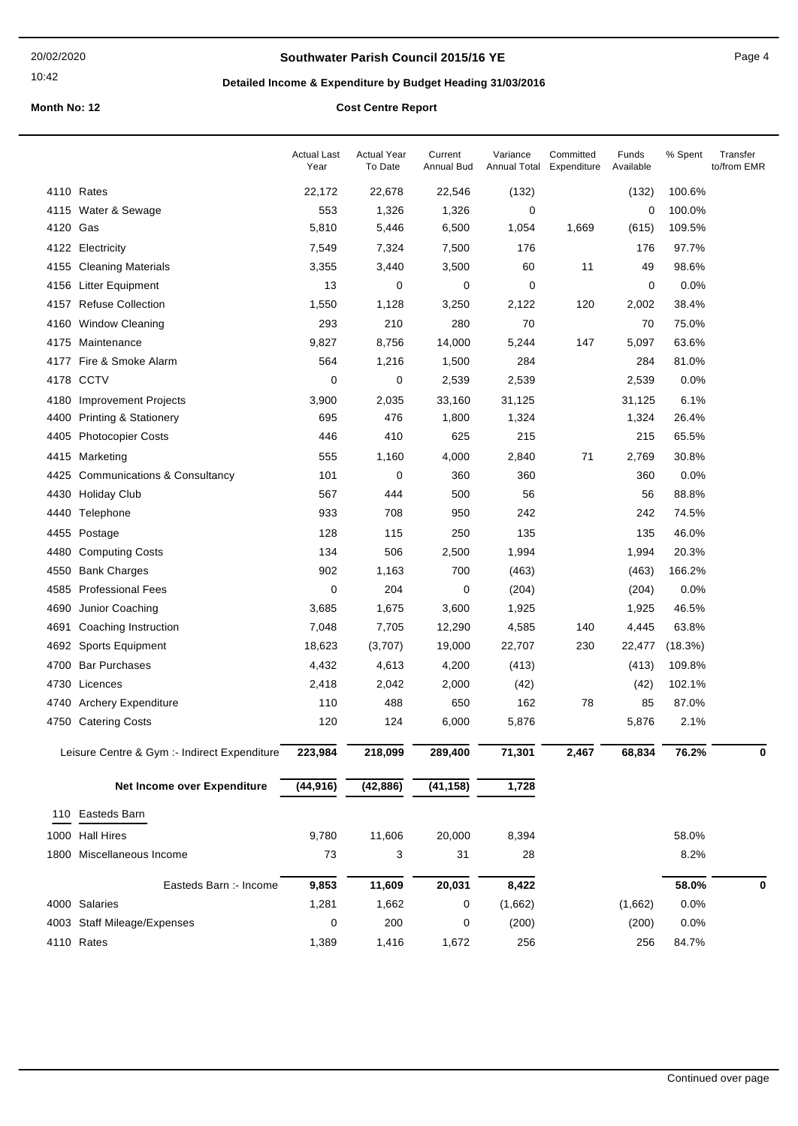### **Southwater Parish Council 2015/16 YE** Page 4

# **Detailed Income & Expenditure by Budget Heading 31/03/2016**

|          |                                              | <b>Actual Last</b><br>Year | <b>Actual Year</b><br>To Date | Current<br><b>Annual Bud</b> | Variance<br>Annual Total | Committed<br>Expenditure | Funds<br>Available | % Spent | Transfer<br>to/from EMR |
|----------|----------------------------------------------|----------------------------|-------------------------------|------------------------------|--------------------------|--------------------------|--------------------|---------|-------------------------|
|          | 4110 Rates                                   | 22,172                     | 22,678                        | 22,546                       | (132)                    |                          | (132)              | 100.6%  |                         |
|          | 4115 Water & Sewage                          | 553                        | 1,326                         | 1,326                        | 0                        |                          | 0                  | 100.0%  |                         |
| 4120 Gas |                                              | 5,810                      | 5,446                         | 6,500                        | 1,054                    | 1,669                    | (615)              | 109.5%  |                         |
| 4122     | Electricity                                  | 7,549                      | 7,324                         | 7,500                        | 176                      |                          | 176                | 97.7%   |                         |
| 4155     | <b>Cleaning Materials</b>                    | 3,355                      | 3,440                         | 3,500                        | 60                       | 11                       | 49                 | 98.6%   |                         |
| 4156     | <b>Litter Equipment</b>                      | 13                         | $\mathbf 0$                   | $\mathbf 0$                  | 0                        |                          | 0                  | 0.0%    |                         |
| 4157     | <b>Refuse Collection</b>                     | 1,550                      | 1,128                         | 3,250                        | 2,122                    | 120                      | 2,002              | 38.4%   |                         |
| 4160     | <b>Window Cleaning</b>                       | 293                        | 210                           | 280                          | 70                       |                          | 70                 | 75.0%   |                         |
|          | 4175 Maintenance                             | 9,827                      | 8,756                         | 14,000                       | 5,244                    | 147                      | 5,097              | 63.6%   |                         |
| 4177     | Fire & Smoke Alarm                           | 564                        | 1,216                         | 1,500                        | 284                      |                          | 284                | 81.0%   |                         |
|          | 4178 CCTV                                    | 0                          | 0                             | 2,539                        | 2,539                    |                          | 2,539              | 0.0%    |                         |
| 4180     | <b>Improvement Projects</b>                  | 3,900                      | 2,035                         | 33,160                       | 31,125                   |                          | 31,125             | 6.1%    |                         |
| 4400     | <b>Printing &amp; Stationery</b>             | 695                        | 476                           | 1,800                        | 1,324                    |                          | 1,324              | 26.4%   |                         |
| 4405     | <b>Photocopier Costs</b>                     | 446                        | 410                           | 625                          | 215                      |                          | 215                | 65.5%   |                         |
| 4415     | Marketing                                    | 555                        | 1,160                         | 4,000                        | 2,840                    | 71                       | 2,769              | 30.8%   |                         |
| 4425     | <b>Communications &amp; Consultancy</b>      | 101                        | 0                             | 360                          | 360                      |                          | 360                | 0.0%    |                         |
| 4430     | <b>Holiday Club</b>                          | 567                        | 444                           | 500                          | 56                       |                          | 56                 | 88.8%   |                         |
| 4440     | Telephone                                    | 933                        | 708                           | 950                          | 242                      |                          | 242                | 74.5%   |                         |
| 4455     | Postage                                      | 128                        | 115                           | 250                          | 135                      |                          | 135                | 46.0%   |                         |
| 4480     | <b>Computing Costs</b>                       | 134                        | 506                           | 2,500                        | 1,994                    |                          | 1,994              | 20.3%   |                         |
| 4550     | <b>Bank Charges</b>                          | 902                        | 1,163                         | 700                          | (463)                    |                          | (463)              | 166.2%  |                         |
| 4585     | <b>Professional Fees</b>                     | 0                          | 204                           | 0                            | (204)                    |                          | (204)              | 0.0%    |                         |
| 4690     | Junior Coaching                              | 3,685                      | 1,675                         | 3,600                        | 1,925                    |                          | 1,925              | 46.5%   |                         |
| 4691     | Coaching Instruction                         | 7,048                      | 7,705                         | 12,290                       | 4,585                    | 140                      | 4,445              | 63.8%   |                         |
|          | 4692 Sports Equipment                        | 18,623                     | (3,707)                       | 19,000                       | 22,707                   | 230                      | 22,477             | (18.3%) |                         |
| 4700     | <b>Bar Purchases</b>                         | 4,432                      | 4,613                         | 4,200                        | (413)                    |                          | (413)              | 109.8%  |                         |
|          | 4730 Licences                                | 2,418                      | 2,042                         | 2,000                        | (42)                     |                          | (42)               | 102.1%  |                         |
|          | 4740 Archery Expenditure                     | 110                        | 488                           | 650                          | 162                      | 78                       | 85                 | 87.0%   |                         |
| 4750     | <b>Catering Costs</b>                        | 120                        | 124                           | 6,000                        | 5,876                    |                          | 5,876              | 2.1%    |                         |
|          | Leisure Centre & Gym :- Indirect Expenditure | 223,984                    | 218,099                       | 289,400                      | 71,301                   | 2,467                    | 68,834             | 76.2%   | 0                       |
|          | Net Income over Expenditure                  | (44, 916)                  | (42, 886)                     | (41, 158)                    | 1,728                    |                          |                    |         |                         |
| 110      | Easteds Barn                                 |                            |                               |                              |                          |                          |                    |         |                         |
|          | 1000 Hall Hires                              | 9,780                      | 11,606                        | 20,000                       | 8,394                    |                          |                    | 58.0%   |                         |
|          | 1800 Miscellaneous Income                    | 73                         | 3                             | 31                           | 28                       |                          |                    | 8.2%    |                         |
|          | Easteds Barn :- Income                       | 9,853                      | 11,609                        | 20,031                       | 8,422                    |                          |                    | 58.0%   | 0                       |
|          | 4000 Salaries                                | 1,281                      | 1,662                         | 0                            | (1,662)                  |                          | (1,662)            | 0.0%    |                         |
|          | 4003 Staff Mileage/Expenses                  | 0                          | 200                           | 0                            | (200)                    |                          | (200)              | 0.0%    |                         |
|          | 4110 Rates                                   | 1,389                      | 1,416                         | 1,672                        | 256                      |                          | 256                | 84.7%   |                         |
|          |                                              |                            |                               |                              |                          |                          |                    |         |                         |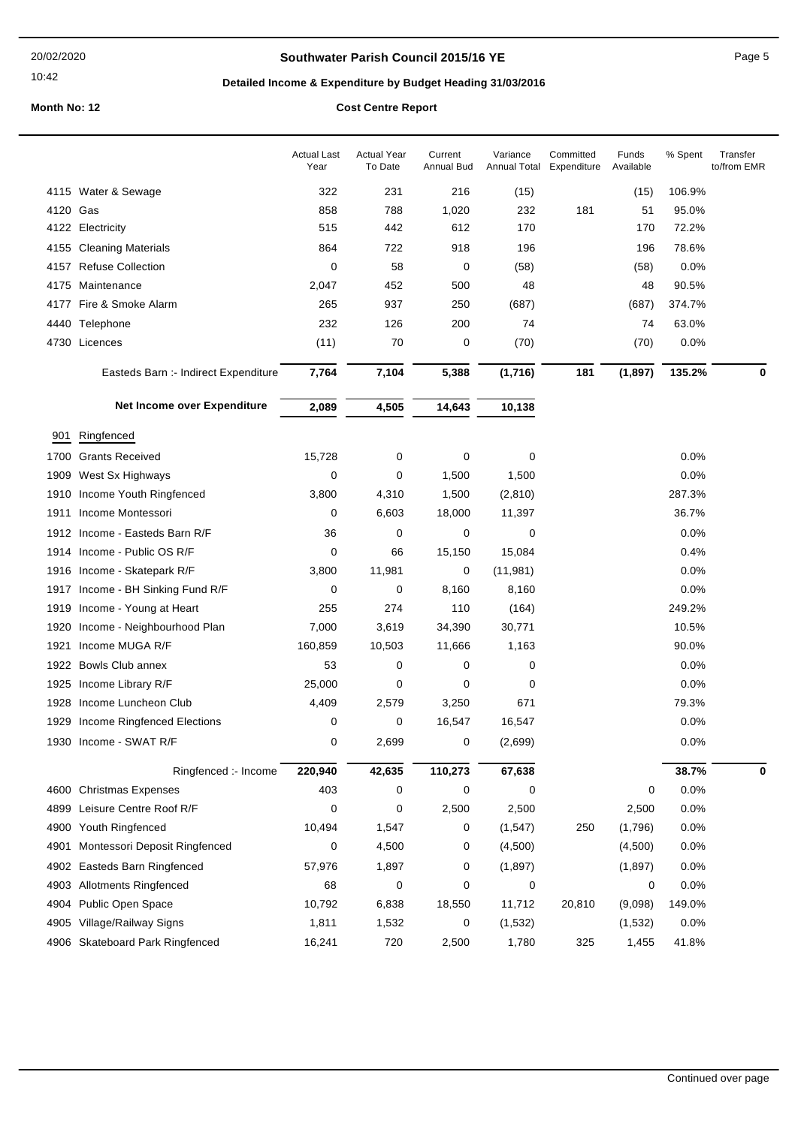### **Southwater Parish Council 2015/16 YE Page 5** Page 5

# **Detailed Income & Expenditure by Budget Heading 31/03/2016**

|          |                                      | <b>Actual Last</b><br>Year | <b>Actual Year</b><br>To Date | Current<br><b>Annual Bud</b> | Variance<br>Annual Total | Committed<br>Expenditure | Funds<br>Available | % Spent | Transfer<br>to/from EMR |
|----------|--------------------------------------|----------------------------|-------------------------------|------------------------------|--------------------------|--------------------------|--------------------|---------|-------------------------|
|          | 4115 Water & Sewage                  | 322                        | 231                           | 216                          | (15)                     |                          | (15)               | 106.9%  |                         |
| 4120 Gas |                                      | 858                        | 788                           | 1,020                        | 232                      | 181                      | 51                 | 95.0%   |                         |
|          | 4122 Electricity                     | 515                        | 442                           | 612                          | 170                      |                          | 170                | 72.2%   |                         |
| 4155     | <b>Cleaning Materials</b>            | 864                        | 722                           | 918                          | 196                      |                          | 196                | 78.6%   |                         |
| 4157     | <b>Refuse Collection</b>             | 0                          | 58                            | 0                            | (58)                     |                          | (58)               | 0.0%    |                         |
|          | 4175 Maintenance                     | 2,047                      | 452                           | 500                          | 48                       |                          | 48                 | 90.5%   |                         |
|          | 4177 Fire & Smoke Alarm              | 265                        | 937                           | 250                          | (687)                    |                          | (687)              | 374.7%  |                         |
|          | 4440 Telephone                       | 232                        | 126                           | 200                          | 74                       |                          | 74                 | 63.0%   |                         |
|          | 4730 Licences                        | (11)                       | 70                            | 0                            | (70)                     |                          | (70)               | 0.0%    |                         |
|          | Easteds Barn :- Indirect Expenditure | 7,764                      | 7,104                         | 5,388                        | (1,716)                  | 181                      | (1, 897)           | 135.2%  | 0                       |
|          | Net Income over Expenditure          | 2,089                      | 4,505                         | 14,643                       | 10,138                   |                          |                    |         |                         |
| 901      | Ringfenced                           |                            |                               |                              |                          |                          |                    |         |                         |
| 1700     | <b>Grants Received</b>               | 15,728                     | 0                             | 0                            | 0                        |                          |                    | 0.0%    |                         |
| 1909     | West Sx Highways                     | 0                          | 0                             | 1,500                        | 1,500                    |                          |                    | 0.0%    |                         |
| 1910     | Income Youth Ringfenced              | 3,800                      | 4,310                         | 1,500                        | (2, 810)                 |                          |                    | 287.3%  |                         |
| 1911     | Income Montessori                    | 0                          | 6,603                         | 18,000                       | 11,397                   |                          |                    | 36.7%   |                         |
|          | 1912 Income - Easteds Barn R/F       | 36                         | 0                             | 0                            | 0                        |                          |                    | 0.0%    |                         |
|          | 1914 Income - Public OS R/F          | 0                          | 66                            | 15,150                       | 15,084                   |                          |                    | 0.4%    |                         |
| 1916     | Income - Skatepark R/F               | 3,800                      | 11,981                        | 0                            | (11, 981)                |                          |                    | 0.0%    |                         |
| 1917     | Income - BH Sinking Fund R/F         | 0                          | 0                             | 8,160                        | 8,160                    |                          |                    | 0.0%    |                         |
| 1919     | Income - Young at Heart              | 255                        | 274                           | 110                          | (164)                    |                          |                    | 249.2%  |                         |
| 1920     | Income - Neighbourhood Plan          | 7,000                      | 3,619                         | 34,390                       | 30,771                   |                          |                    | 10.5%   |                         |
| 1921     | Income MUGA R/F                      | 160,859                    | 10,503                        | 11,666                       | 1,163                    |                          |                    | 90.0%   |                         |
| 1922     | Bowls Club annex                     | 53                         | 0                             | 0                            | 0                        |                          |                    | 0.0%    |                         |
| 1925     | Income Library R/F                   | 25,000                     | 0                             | 0                            | 0                        |                          |                    | 0.0%    |                         |
| 1928     | Income Luncheon Club                 | 4,409                      | 2,579                         | 3,250                        | 671                      |                          |                    | 79.3%   |                         |
| 1929     | Income Ringfenced Elections          | 0                          | 0                             | 16,547                       | 16,547                   |                          |                    | 0.0%    |                         |
|          | 1930 Income - SWAT R/F               | 0                          | 2,699                         | 0                            | (2,699)                  |                          |                    | 0.0%    |                         |
|          | Ringfenced :- Income                 | 220,940                    | 42,635                        | 110,273                      | 67,638                   |                          |                    | 38.7%   | 0                       |
| 4600     | <b>Christmas Expenses</b>            | 403                        | 0                             | 0                            | 0                        |                          | 0                  | 0.0%    |                         |
| 4899     | Leisure Centre Roof R/F              | 0                          | 0                             | 2,500                        | 2,500                    |                          | 2,500              | 0.0%    |                         |
| 4900     | Youth Ringfenced                     | 10,494                     | 1,547                         | 0                            | (1, 547)                 | 250                      | (1,796)            | 0.0%    |                         |
| 4901     | Montessori Deposit Ringfenced        | 0                          | 4,500                         | 0                            | (4,500)                  |                          | (4,500)            | 0.0%    |                         |
| 4902     | <b>Easteds Barn Ringfenced</b>       | 57,976                     | 1,897                         | 0                            | (1,897)                  |                          | (1,897)            | 0.0%    |                         |
| 4903     | <b>Allotments Ringfenced</b>         | 68                         | 0                             | 0                            | 0                        |                          | 0                  | 0.0%    |                         |
| 4904     | Public Open Space                    | 10,792                     | 6,838                         | 18,550                       | 11,712                   | 20,810                   | (9,098)            | 149.0%  |                         |
| 4905     | Village/Railway Signs                | 1,811                      | 1,532                         | 0                            | (1,532)                  |                          | (1,532)            | 0.0%    |                         |
|          | 4906 Skateboard Park Ringfenced      | 16,241                     | 720                           | 2,500                        | 1,780                    | 325                      | 1,455              | 41.8%   |                         |